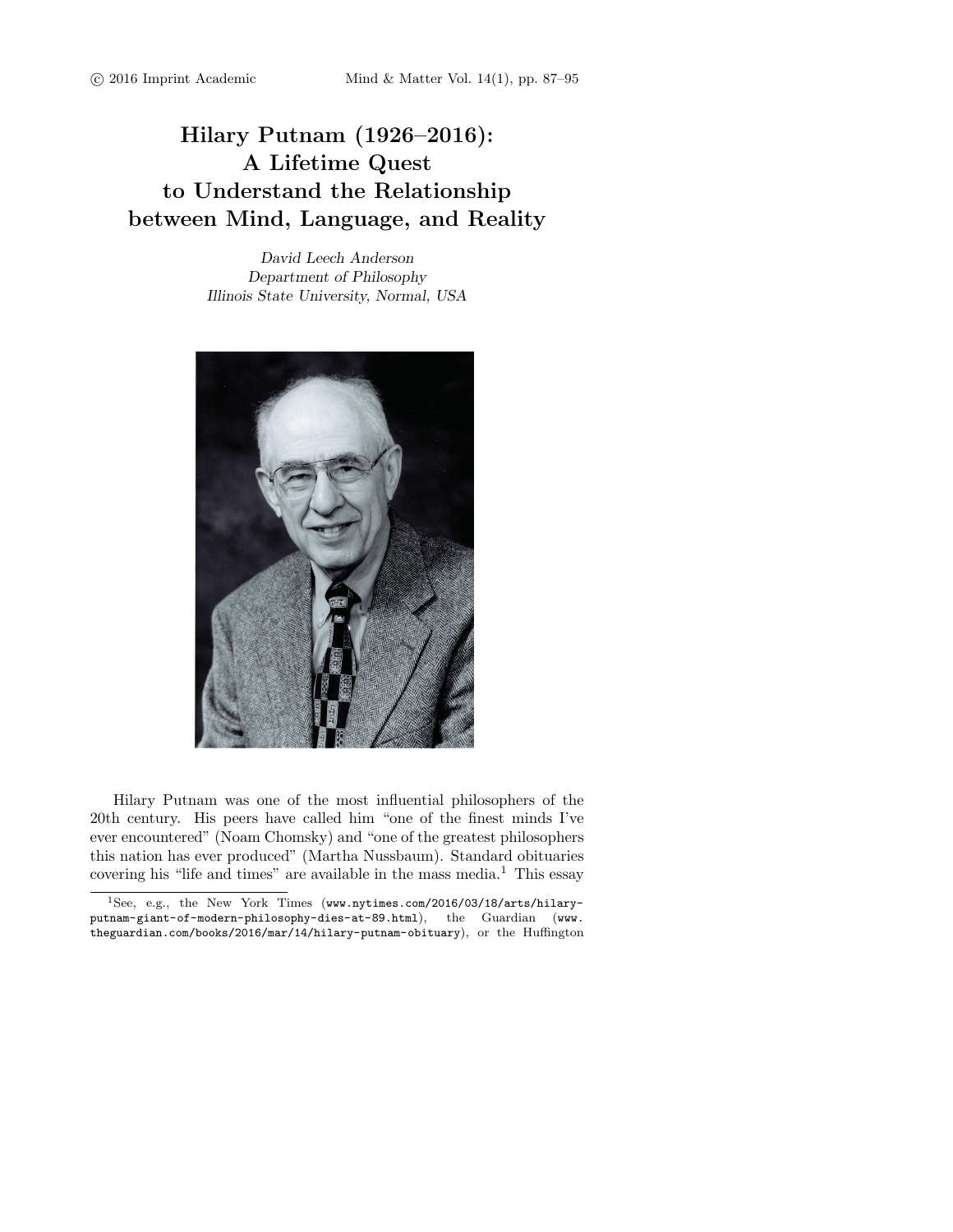## Hilary Putnam (1926–2016): A Lifetime Quest to Understand the Relationship between Mind, Language, and Reality

David Leech Anderson Department of Philosophy Illinois State University, Normal, USA



Hilary Putnam was one of the most influential philosophers of the 20th century. His peers have called him "one of the finest minds I've ever encountered" (Noam Chomsky) and "one of the greatest philosophers this nation has ever produced" (Martha Nussbaum). Standard obituaries covering his "life and times" are available in the mass media.<sup>1</sup> This essay

<sup>&</sup>lt;sup>1</sup>See, e.g., the New York Times (www.nytimes.com/2016/03/18/arts/hilaryputnam-giant-of-modern-philosophy-dies-at-89.html), the Guardian (www. theguardian.com/books/2016/mar/14/hilary-putnam-obituary), or the Huffington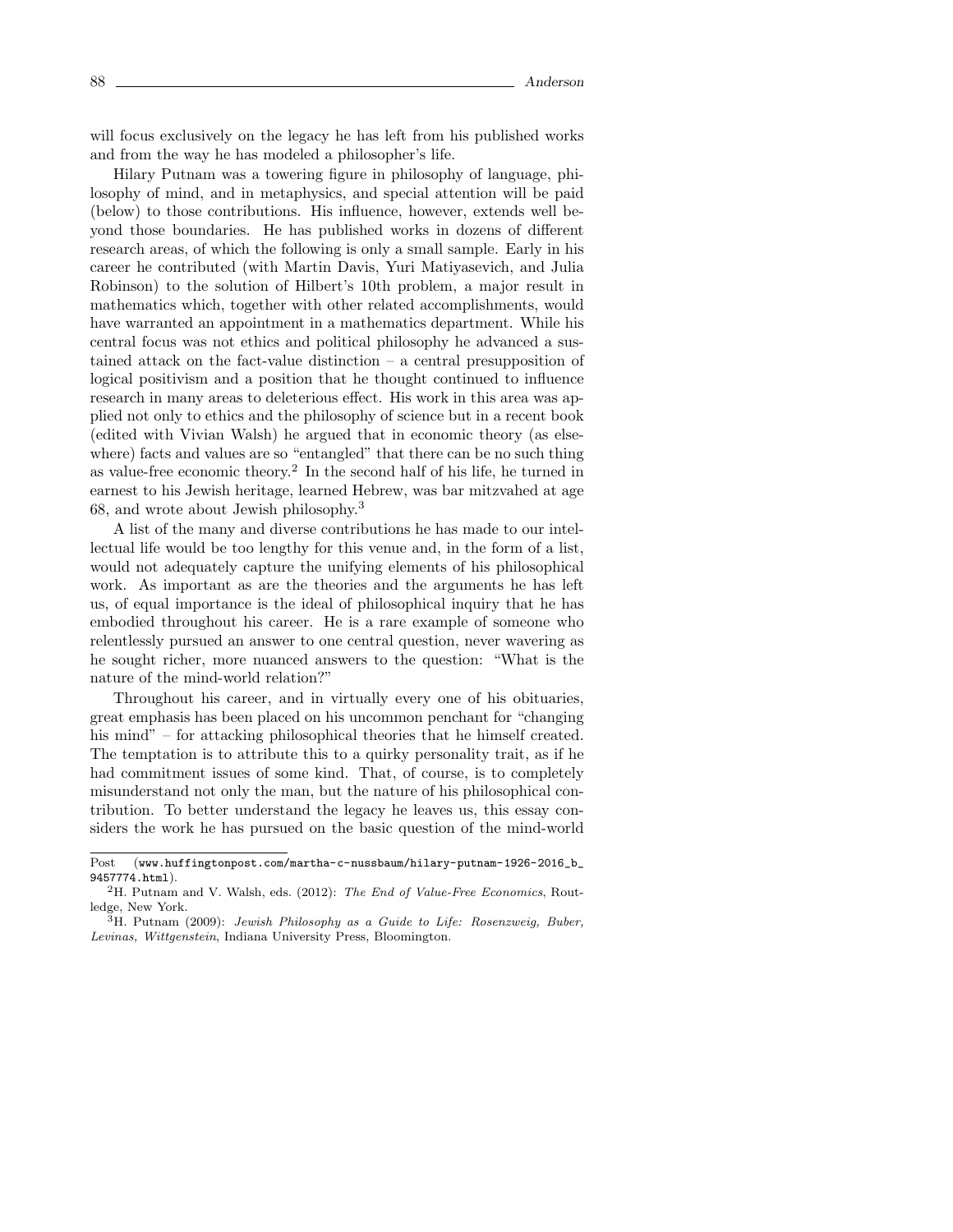will focus exclusively on the legacy he has left from his published works and from the way he has modeled a philosopher's life.

Hilary Putnam was a towering figure in philosophy of language, philosophy of mind, and in metaphysics, and special attention will be paid (below) to those contributions. His influence, however, extends well beyond those boundaries. He has published works in dozens of different research areas, of which the following is only a small sample. Early in his career he contributed (with Martin Davis, Yuri Matiyasevich, and Julia Robinson) to the solution of Hilbert's 10th problem, a major result in mathematics which, together with other related accomplishments, would have warranted an appointment in a mathematics department. While his central focus was not ethics and political philosophy he advanced a sustained attack on the fact-value distinction – a central presupposition of logical positivism and a position that he thought continued to influence research in many areas to deleterious effect. His work in this area was applied not only to ethics and the philosophy of science but in a recent book (edited with Vivian Walsh) he argued that in economic theory (as elsewhere) facts and values are so "entangled" that there can be no such thing as value-free economic theory.<sup>2</sup> In the second half of his life, he turned in earnest to his Jewish heritage, learned Hebrew, was bar mitzvahed at age 68, and wrote about Jewish philosophy.<sup>3</sup>

A list of the many and diverse contributions he has made to our intellectual life would be too lengthy for this venue and, in the form of a list, would not adequately capture the unifying elements of his philosophical work. As important as are the theories and the arguments he has left us, of equal importance is the ideal of philosophical inquiry that he has embodied throughout his career. He is a rare example of someone who relentlessly pursued an answer to one central question, never wavering as he sought richer, more nuanced answers to the question: "What is the nature of the mind-world relation?"

Throughout his career, and in virtually every one of his obituaries, great emphasis has been placed on his uncommon penchant for "changing his mind" – for attacking philosophical theories that he himself created. The temptation is to attribute this to a quirky personality trait, as if he had commitment issues of some kind. That, of course, is to completely misunderstand not only the man, but the nature of his philosophical contribution. To better understand the legacy he leaves us, this essay considers the work he has pursued on the basic question of the mind-world

Post (www.huffingtonpost.com/martha-c-nussbaum/hilary-putnam-1926-2016\_b\_ 9457774.html).

<sup>&</sup>lt;sup>2</sup>H. Putnam and V. Walsh, eds. (2012): *The End of Value-Free Economics*, Routledge, New York.

<sup>&</sup>lt;sup>3</sup>H. Putnam (2009): Jewish Philosophy as a Guide to Life: Rosenzweig, Buber, Levinas, Wittgenstein, Indiana University Press, Bloomington.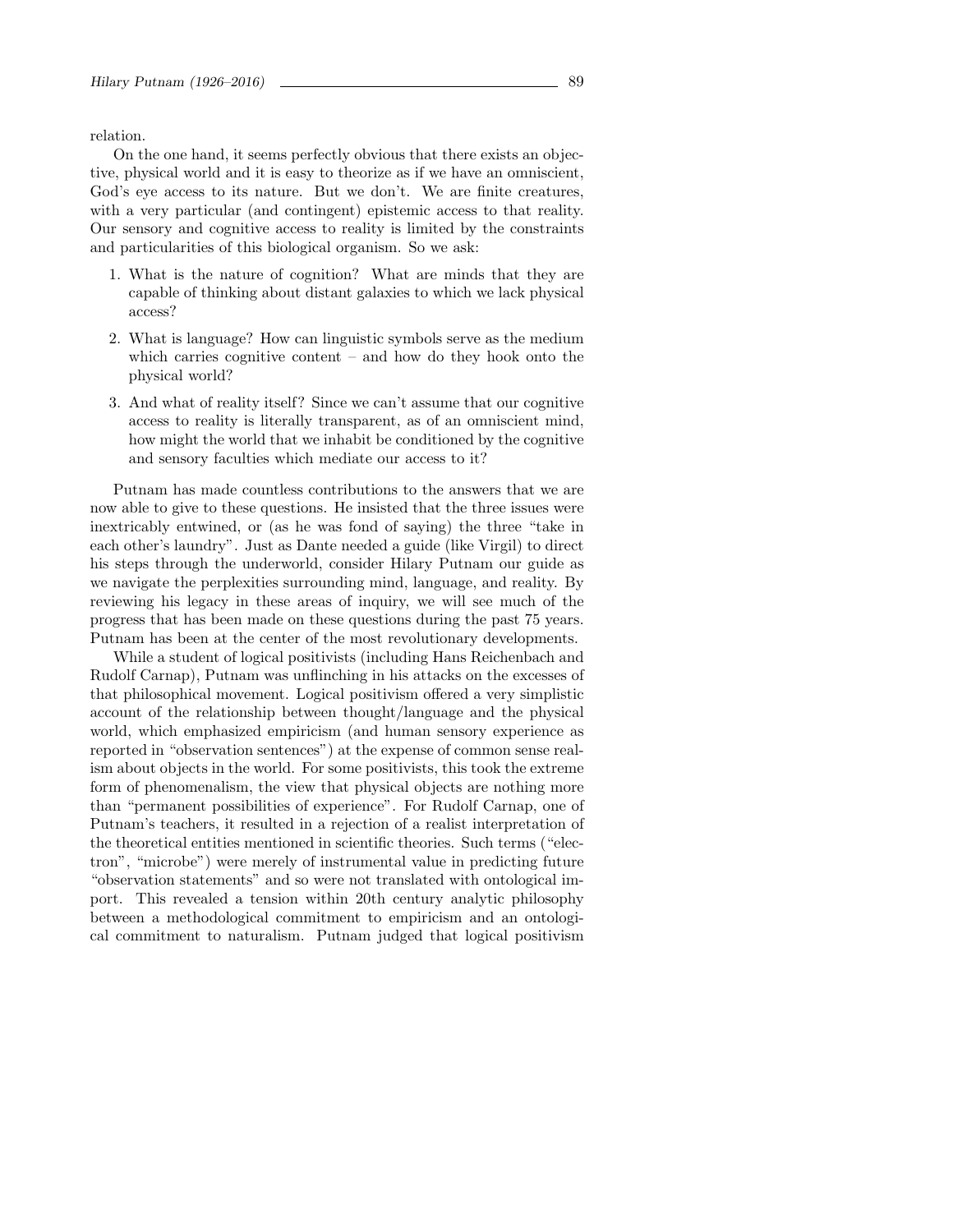relation.

On the one hand, it seems perfectly obvious that there exists an objective, physical world and it is easy to theorize as if we have an omniscient, God's eye access to its nature. But we don't. We are finite creatures, with a very particular (and contingent) epistemic access to that reality. Our sensory and cognitive access to reality is limited by the constraints and particularities of this biological organism. So we ask:

- 1. What is the nature of cognition? What are minds that they are capable of thinking about distant galaxies to which we lack physical access?
- 2. What is language? How can linguistic symbols serve as the medium which carries cognitive content – and how do they hook onto the physical world?
- 3. And what of reality itself? Since we can't assume that our cognitive access to reality is literally transparent, as of an omniscient mind, how might the world that we inhabit be conditioned by the cognitive and sensory faculties which mediate our access to it?

Putnam has made countless contributions to the answers that we are now able to give to these questions. He insisted that the three issues were inextricably entwined, or (as he was fond of saying) the three "take in each other's laundry". Just as Dante needed a guide (like Virgil) to direct his steps through the underworld, consider Hilary Putnam our guide as we navigate the perplexities surrounding mind, language, and reality. By reviewing his legacy in these areas of inquiry, we will see much of the progress that has been made on these questions during the past 75 years. Putnam has been at the center of the most revolutionary developments.

While a student of logical positivists (including Hans Reichenbach and Rudolf Carnap), Putnam was unflinching in his attacks on the excesses of that philosophical movement. Logical positivism offered a very simplistic account of the relationship between thought/language and the physical world, which emphasized empiricism (and human sensory experience as reported in "observation sentences") at the expense of common sense realism about objects in the world. For some positivists, this took the extreme form of phenomenalism, the view that physical objects are nothing more than "permanent possibilities of experience". For Rudolf Carnap, one of Putnam's teachers, it resulted in a rejection of a realist interpretation of the theoretical entities mentioned in scientific theories. Such terms ("electron", "microbe") were merely of instrumental value in predicting future "observation statements" and so were not translated with ontological import. This revealed a tension within 20th century analytic philosophy between a methodological commitment to empiricism and an ontological commitment to naturalism. Putnam judged that logical positivism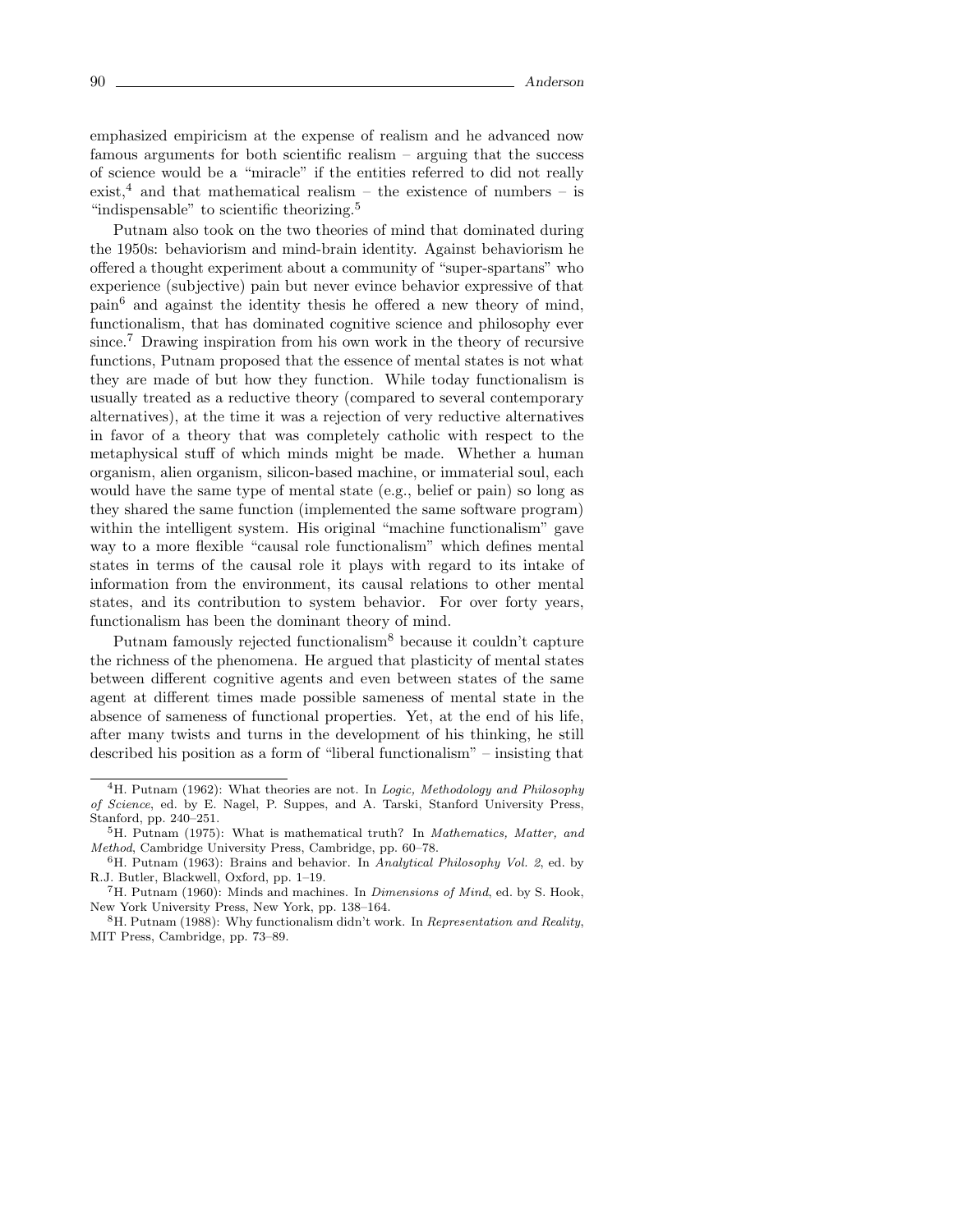emphasized empiricism at the expense of realism and he advanced now famous arguments for both scientific realism – arguing that the success of science would be a "miracle" if the entities referred to did not really exist,<sup>4</sup> and that mathematical realism – the existence of numbers – is "indispensable" to scientific theorizing.<sup>5</sup>

Putnam also took on the two theories of mind that dominated during the 1950s: behaviorism and mind-brain identity. Against behaviorism he offered a thought experiment about a community of "super-spartans" who experience (subjective) pain but never evince behavior expressive of that pain<sup>6</sup> and against the identity thesis he offered a new theory of mind, functionalism, that has dominated cognitive science and philosophy ever since.<sup>7</sup> Drawing inspiration from his own work in the theory of recursive functions, Putnam proposed that the essence of mental states is not what they are made of but how they function. While today functionalism is usually treated as a reductive theory (compared to several contemporary alternatives), at the time it was a rejection of very reductive alternatives in favor of a theory that was completely catholic with respect to the metaphysical stuff of which minds might be made. Whether a human organism, alien organism, silicon-based machine, or immaterial soul, each would have the same type of mental state (e.g., belief or pain) so long as they shared the same function (implemented the same software program) within the intelligent system. His original "machine functionalism" gave way to a more flexible "causal role functionalism" which defines mental states in terms of the causal role it plays with regard to its intake of information from the environment, its causal relations to other mental states, and its contribution to system behavior. For over forty years, functionalism has been the dominant theory of mind.

Putnam famously rejected functionalism<sup>8</sup> because it couldn't capture the richness of the phenomena. He argued that plasticity of mental states between different cognitive agents and even between states of the same agent at different times made possible sameness of mental state in the absence of sameness of functional properties. Yet, at the end of his life, after many twists and turns in the development of his thinking, he still described his position as a form of "liberal functionalism" – insisting that

<sup>&</sup>lt;sup>4</sup>H. Putnam (1962): What theories are not. In *Logic, Methodology and Philosophy* of Science, ed. by E. Nagel, P. Suppes, and A. Tarski, Stanford University Press, Stanford, pp. 240–251.

<sup>&</sup>lt;sup>5</sup>H. Putnam (1975): What is mathematical truth? In *Mathematics, Matter, and* Method, Cambridge University Press, Cambridge, pp. 60–78.

<sup>6</sup>H. Putnam (1963): Brains and behavior. In Analytical Philosophy Vol. 2, ed. by R.J. Butler, Blackwell, Oxford, pp. 1–19.

 ${}^{7}$ H. Putnam (1960): Minds and machines. In *Dimensions of Mind*, ed. by S. Hook, New York University Press, New York, pp. 138–164.

 $8H.$  Putnam (1988): Why functionalism didn't work. In Representation and Reality, MIT Press, Cambridge, pp. 73–89.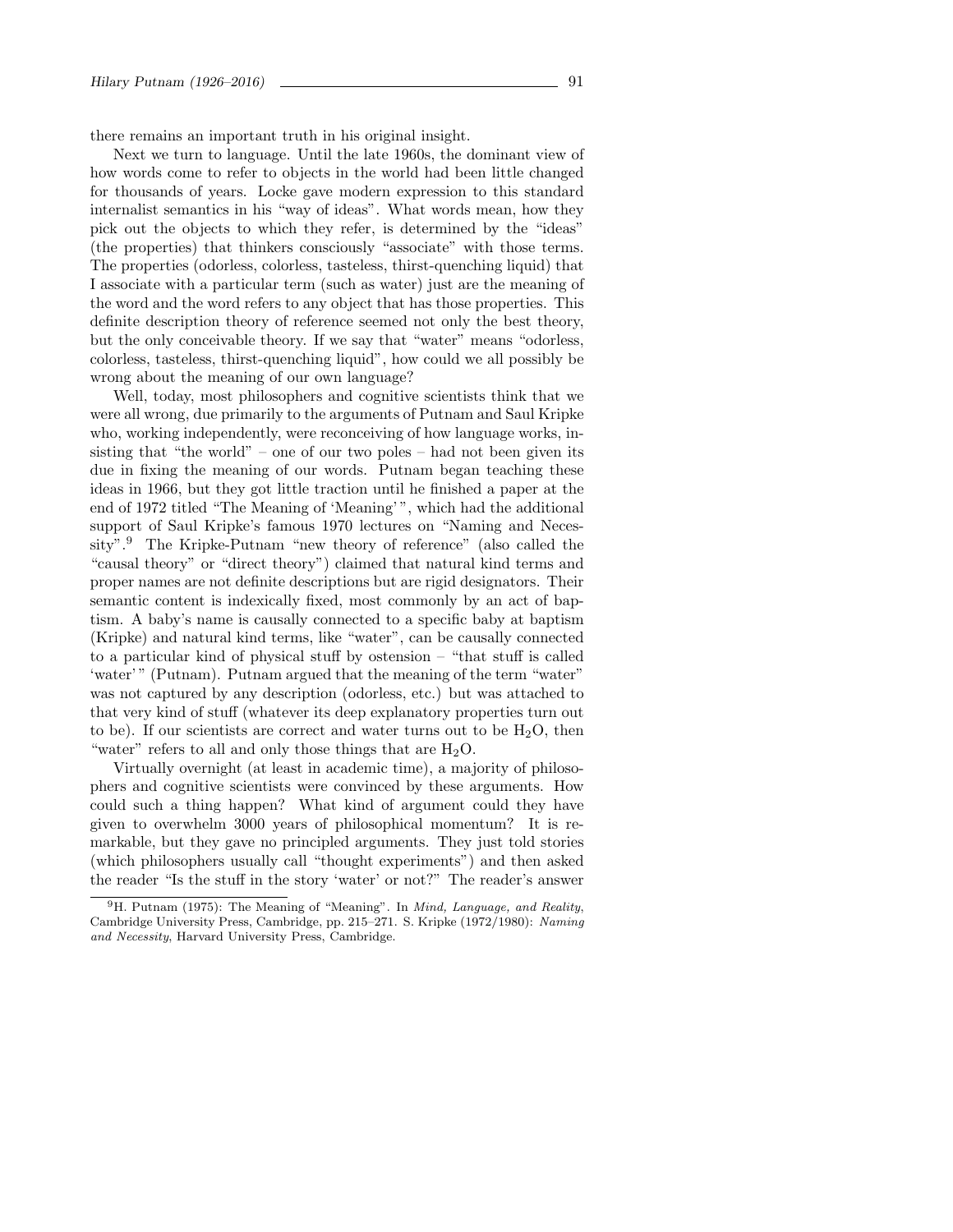there remains an important truth in his original insight.

Next we turn to language. Until the late 1960s, the dominant view of how words come to refer to objects in the world had been little changed for thousands of years. Locke gave modern expression to this standard internalist semantics in his "way of ideas". What words mean, how they pick out the objects to which they refer, is determined by the "ideas" (the properties) that thinkers consciously "associate" with those terms. The properties (odorless, colorless, tasteless, thirst-quenching liquid) that I associate with a particular term (such as water) just are the meaning of the word and the word refers to any object that has those properties. This definite description theory of reference seemed not only the best theory, but the only conceivable theory. If we say that "water" means "odorless, colorless, tasteless, thirst-quenching liquid", how could we all possibly be wrong about the meaning of our own language?

Well, today, most philosophers and cognitive scientists think that we were all wrong, due primarily to the arguments of Putnam and Saul Kripke who, working independently, were reconceiving of how language works, insisting that "the world" – one of our two poles – had not been given its due in fixing the meaning of our words. Putnam began teaching these ideas in 1966, but they got little traction until he finished a paper at the end of 1972 titled "The Meaning of 'Meaning' ", which had the additional support of Saul Kripke's famous 1970 lectures on "Naming and Necessity".<sup>9</sup> The Kripke-Putnam "new theory of reference" (also called the "causal theory" or "direct theory") claimed that natural kind terms and proper names are not definite descriptions but are rigid designators. Their semantic content is indexically fixed, most commonly by an act of baptism. A baby's name is causally connected to a specific baby at baptism (Kripke) and natural kind terms, like "water", can be causally connected to a particular kind of physical stuff by ostension – "that stuff is called 'water'" (Putnam). Putnam argued that the meaning of the term "water" was not captured by any description (odorless, etc.) but was attached to that very kind of stuff (whatever its deep explanatory properties turn out to be). If our scientists are correct and water turns out to be  $H_2O$ , then "water" refers to all and only those things that are  $H_2O$ .

Virtually overnight (at least in academic time), a majority of philosophers and cognitive scientists were convinced by these arguments. How could such a thing happen? What kind of argument could they have given to overwhelm 3000 years of philosophical momentum? It is remarkable, but they gave no principled arguments. They just told stories (which philosophers usually call "thought experiments") and then asked the reader "Is the stuff in the story 'water' or not?" The reader's answer

<sup>&</sup>lt;sup>9</sup>H. Putnam (1975): The Meaning of "Meaning". In *Mind, Language, and Reality,* Cambridge University Press, Cambridge, pp. 215–271. S. Kripke (1972/1980): Naming and Necessity, Harvard University Press, Cambridge.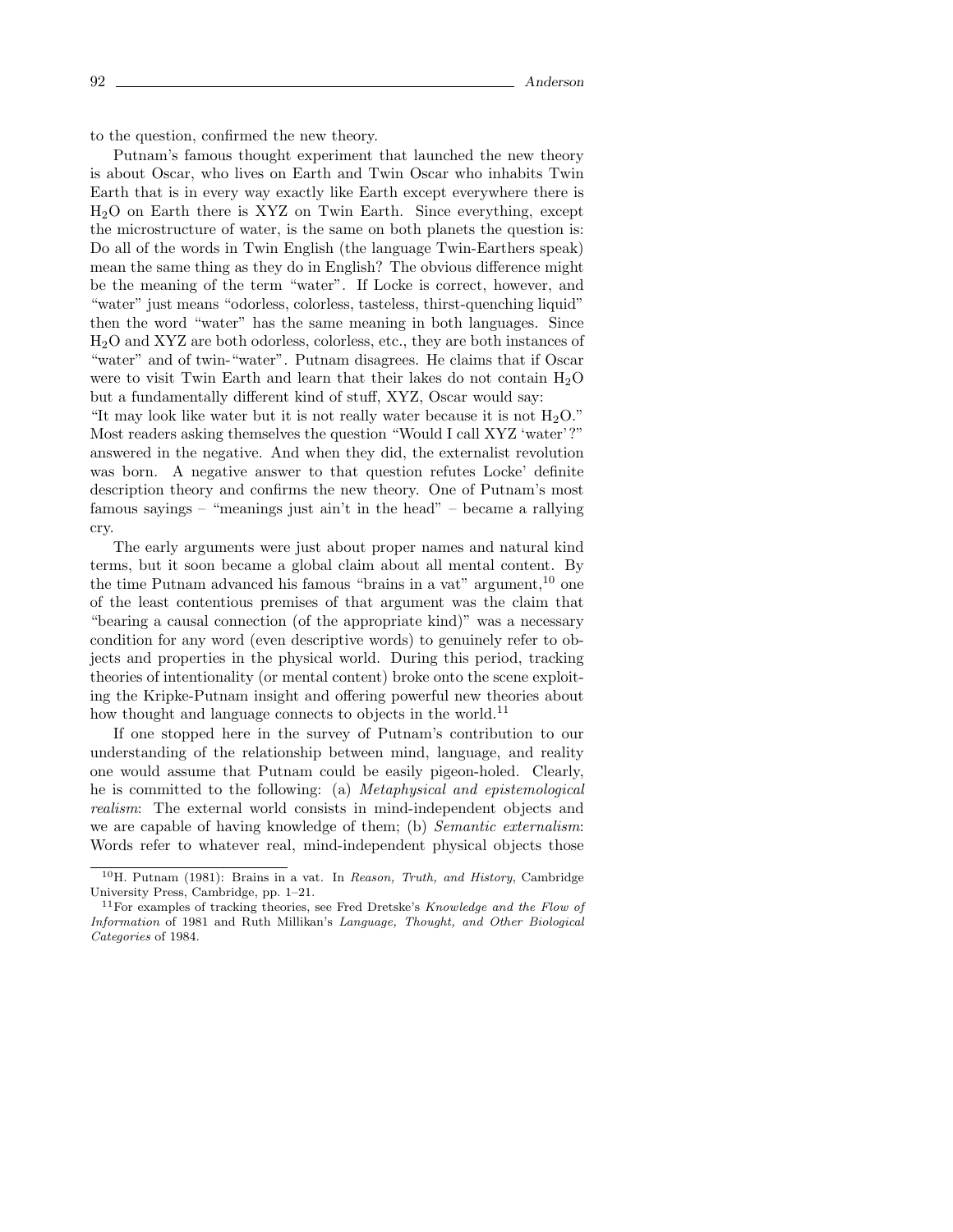to the question, confirmed the new theory.

Putnam's famous thought experiment that launched the new theory is about Oscar, who lives on Earth and Twin Oscar who inhabits Twin Earth that is in every way exactly like Earth except everywhere there is H2O on Earth there is XYZ on Twin Earth. Since everything, except the microstructure of water, is the same on both planets the question is: Do all of the words in Twin English (the language Twin-Earthers speak) mean the same thing as they do in English? The obvious difference might be the meaning of the term "water". If Locke is correct, however, and "water" just means "odorless, colorless, tasteless, thirst-quenching liquid" then the word "water" has the same meaning in both languages. Since H2O and XYZ are both odorless, colorless, etc., they are both instances of "water" and of twin-"water". Putnam disagrees. He claims that if Oscar were to visit Twin Earth and learn that their lakes do not contain  $H_2O$ but a fundamentally different kind of stuff, XYZ, Oscar would say:

"It may look like water but it is not really water because it is not  $H_2O$ ." Most readers asking themselves the question "Would I call XYZ 'water'?" answered in the negative. And when they did, the externalist revolution was born. A negative answer to that question refutes Locke' definite description theory and confirms the new theory. One of Putnam's most famous sayings – "meanings just ain't in the head" – became a rallying cry.

The early arguments were just about proper names and natural kind terms, but it soon became a global claim about all mental content. By the time Putnam advanced his famous "brains in a vat" argument,  $^{10}$  one of the least contentious premises of that argument was the claim that "bearing a causal connection (of the appropriate kind)" was a necessary condition for any word (even descriptive words) to genuinely refer to objects and properties in the physical world. During this period, tracking theories of intentionality (or mental content) broke onto the scene exploiting the Kripke-Putnam insight and offering powerful new theories about how thought and language connects to objects in the world.<sup>11</sup>

If one stopped here in the survey of Putnam's contribution to our understanding of the relationship between mind, language, and reality one would assume that Putnam could be easily pigeon-holed. Clearly, he is committed to the following: (a) Metaphysical and epistemological realism: The external world consists in mind-independent objects and we are capable of having knowledge of them; (b) *Semantic externalism*: Words refer to whatever real, mind-independent physical objects those

<sup>&</sup>lt;sup>10</sup>H. Putnam (1981): Brains in a vat. In Reason, Truth, and History, Cambridge University Press, Cambridge, pp. 1–21.

<sup>&</sup>lt;sup>11</sup>For examples of tracking theories, see Fred Dretske's Knowledge and the Flow of Information of 1981 and Ruth Millikan's Language, Thought, and Other Biological Categories of 1984.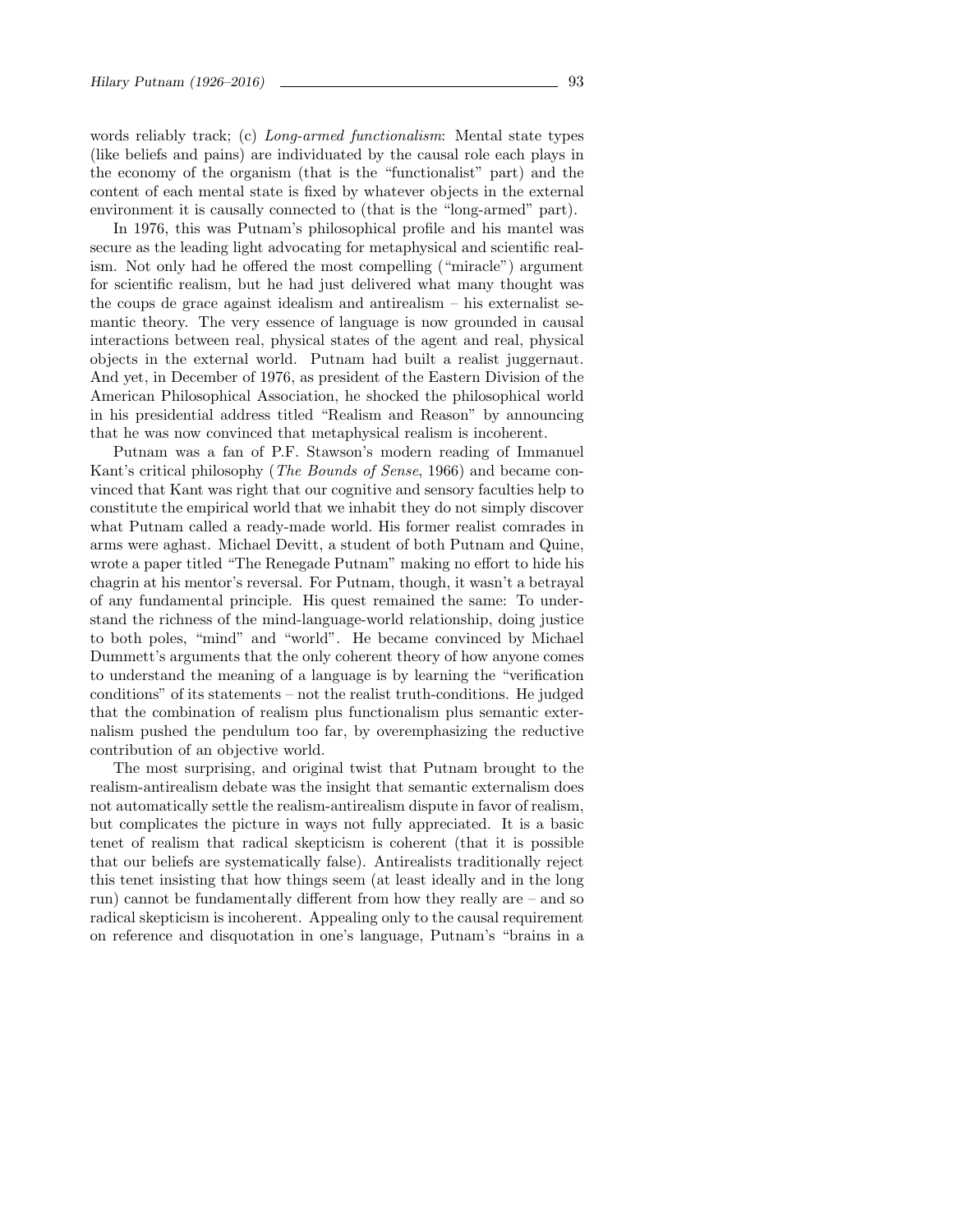words reliably track; (c) *Long-armed functionalism*: Mental state types (like beliefs and pains) are individuated by the causal role each plays in the economy of the organism (that is the "functionalist" part) and the content of each mental state is fixed by whatever objects in the external environment it is causally connected to (that is the "long-armed" part).

In 1976, this was Putnam's philosophical profile and his mantel was secure as the leading light advocating for metaphysical and scientific realism. Not only had he offered the most compelling ("miracle") argument for scientific realism, but he had just delivered what many thought was the coups de grace against idealism and antirealism – his externalist semantic theory. The very essence of language is now grounded in causal interactions between real, physical states of the agent and real, physical objects in the external world. Putnam had built a realist juggernaut. And yet, in December of 1976, as president of the Eastern Division of the American Philosophical Association, he shocked the philosophical world in his presidential address titled "Realism and Reason" by announcing that he was now convinced that metaphysical realism is incoherent.

Putnam was a fan of P.F. Stawson's modern reading of Immanuel Kant's critical philosophy (The Bounds of Sense, 1966) and became convinced that Kant was right that our cognitive and sensory faculties help to constitute the empirical world that we inhabit they do not simply discover what Putnam called a ready-made world. His former realist comrades in arms were aghast. Michael Devitt, a student of both Putnam and Quine, wrote a paper titled "The Renegade Putnam" making no effort to hide his chagrin at his mentor's reversal. For Putnam, though, it wasn't a betrayal of any fundamental principle. His quest remained the same: To understand the richness of the mind-language-world relationship, doing justice to both poles, "mind" and "world". He became convinced by Michael Dummett's arguments that the only coherent theory of how anyone comes to understand the meaning of a language is by learning the "verification conditions" of its statements – not the realist truth-conditions. He judged that the combination of realism plus functionalism plus semantic externalism pushed the pendulum too far, by overemphasizing the reductive contribution of an objective world.

The most surprising, and original twist that Putnam brought to the realism-antirealism debate was the insight that semantic externalism does not automatically settle the realism-antirealism dispute in favor of realism, but complicates the picture in ways not fully appreciated. It is a basic tenet of realism that radical skepticism is coherent (that it is possible that our beliefs are systematically false). Antirealists traditionally reject this tenet insisting that how things seem (at least ideally and in the long run) cannot be fundamentally different from how they really are – and so radical skepticism is incoherent. Appealing only to the causal requirement on reference and disquotation in one's language, Putnam's "brains in a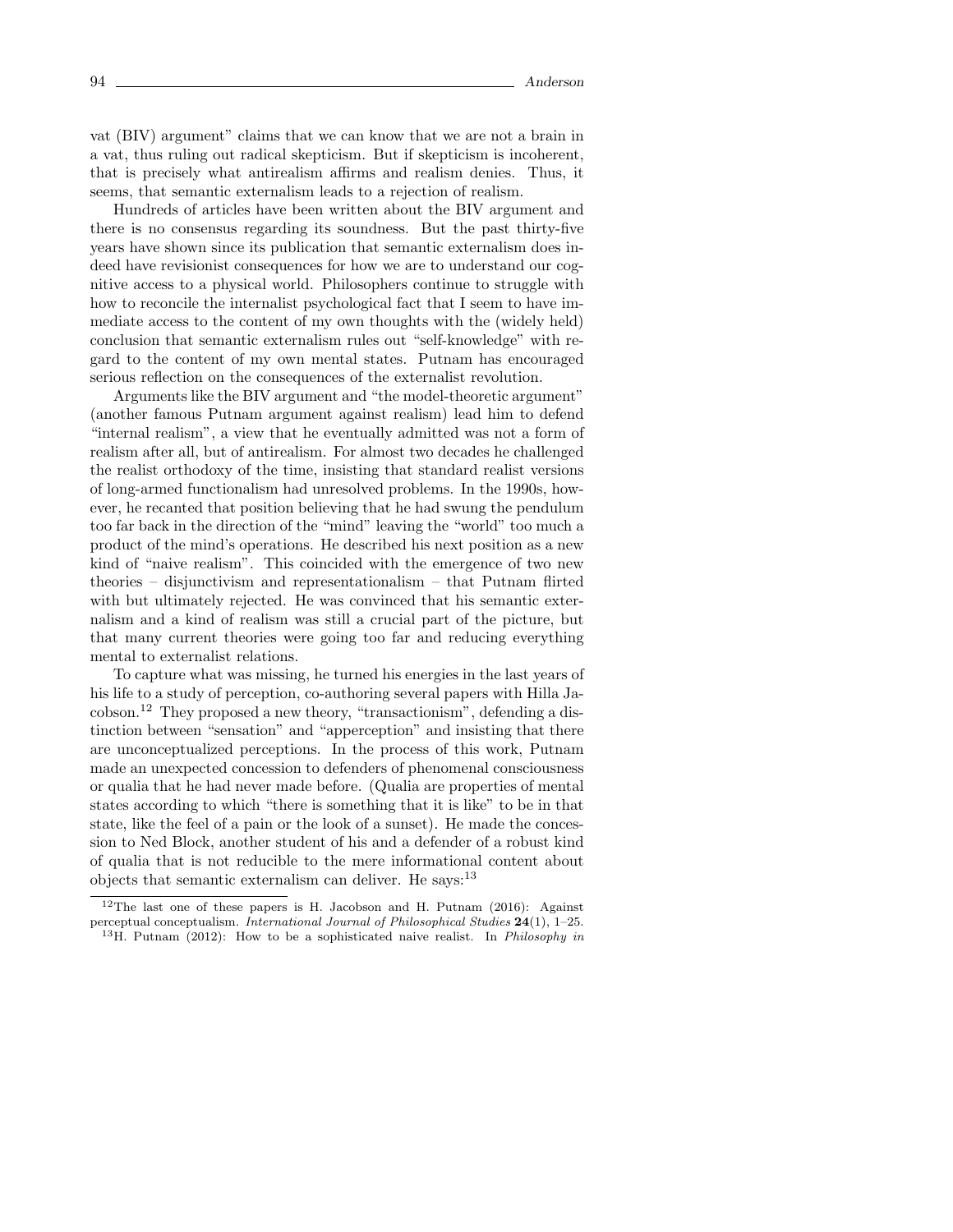vat (BIV) argument" claims that we can know that we are not a brain in a vat, thus ruling out radical skepticism. But if skepticism is incoherent, that is precisely what antirealism affirms and realism denies. Thus, it seems, that semantic externalism leads to a rejection of realism.

Hundreds of articles have been written about the BIV argument and there is no consensus regarding its soundness. But the past thirty-five years have shown since its publication that semantic externalism does indeed have revisionist consequences for how we are to understand our cognitive access to a physical world. Philosophers continue to struggle with how to reconcile the internalist psychological fact that I seem to have immediate access to the content of my own thoughts with the (widely held) conclusion that semantic externalism rules out "self-knowledge" with regard to the content of my own mental states. Putnam has encouraged serious reflection on the consequences of the externalist revolution.

Arguments like the BIV argument and "the model-theoretic argument" (another famous Putnam argument against realism) lead him to defend "internal realism", a view that he eventually admitted was not a form of realism after all, but of antirealism. For almost two decades he challenged the realist orthodoxy of the time, insisting that standard realist versions of long-armed functionalism had unresolved problems. In the 1990s, however, he recanted that position believing that he had swung the pendulum too far back in the direction of the "mind" leaving the "world" too much a product of the mind's operations. He described his next position as a new kind of "naive realism". This coincided with the emergence of two new theories – disjunctivism and representationalism – that Putnam flirted with but ultimately rejected. He was convinced that his semantic externalism and a kind of realism was still a crucial part of the picture, but that many current theories were going too far and reducing everything mental to externalist relations.

To capture what was missing, he turned his energies in the last years of his life to a study of perception, co-authoring several papers with Hilla Jacobson.<sup>12</sup> They proposed a new theory, "transactionism", defending a distinction between "sensation" and "apperception" and insisting that there are unconceptualized perceptions. In the process of this work, Putnam made an unexpected concession to defenders of phenomenal consciousness or qualia that he had never made before. (Qualia are properties of mental states according to which "there is something that it is like" to be in that state, like the feel of a pain or the look of a sunset). He made the concession to Ned Block, another student of his and a defender of a robust kind of qualia that is not reducible to the mere informational content about objects that semantic externalism can deliver. He says:<sup>13</sup>

<sup>&</sup>lt;sup>12</sup>The last one of these papers is H. Jacobson and H. Putnam  $(2016)$ : Against perceptual conceptualism. International Journal of Philosophical Studies 24(1), 1–25. <sup>13</sup>H. Putnam (2012): How to be a sophisticated naive realist. In *Philosophy in*